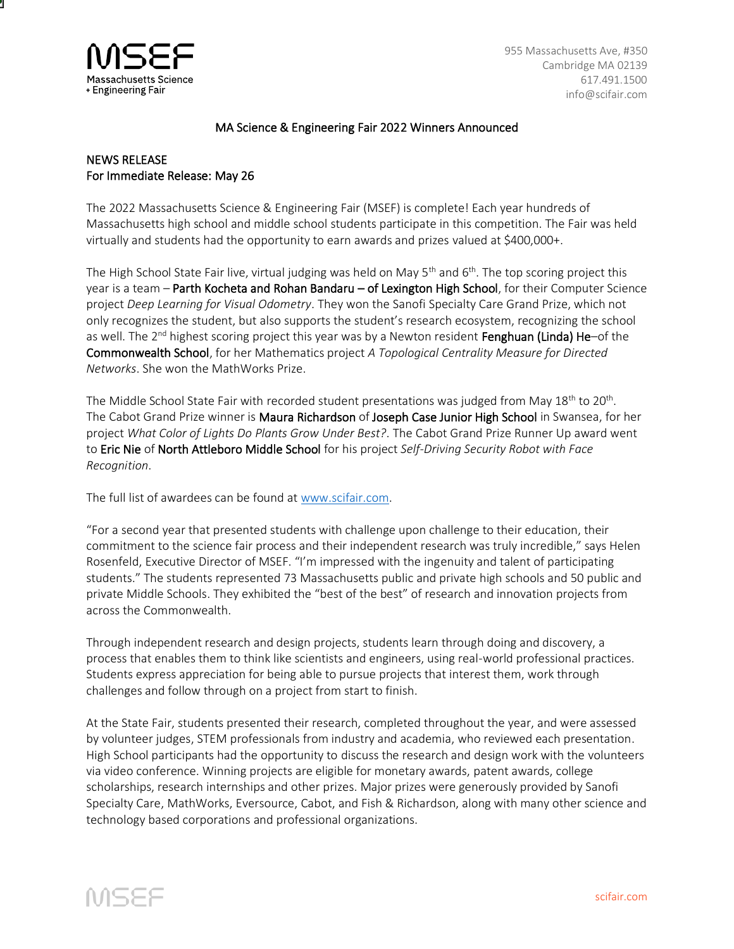

955 Massachusetts Ave, #350 Cambridge MA 02139 617.491.1500 info@scifair.com

## MA Science & Engineering Fair 2022 Winners Announced

## NEWS RELEASE For Immediate Release: May 26

The 2022 Massachusetts Science & Engineering Fair (MSEF) is complete! Each year hundreds of Massachusetts high school and middle school students participate in this competition. The Fair was held virtually and students had the opportunity to earn awards and prizes valued at \$400,000+.

The High School State Fair live, virtual judging was held on May 5<sup>th</sup> and 6<sup>th</sup>. The top scoring project this year is a team – Parth Kocheta and Rohan Bandaru – of Lexington High School, for their Computer Science project *Deep Learning for Visual Odometry*. They won the Sanofi Specialty Care Grand Prize, which not only recognizes the student, but also supports the student's research ecosystem, recognizing the school as well. The 2<sup>nd</sup> highest scoring project this year was by a Newton resident Fenghuan (Linda) He-of the Commonwealth School, for her Mathematics project *A Topological Centrality Measure for Directed Networks*. She won the MathWorks Prize.

The Middle School State Fair with recorded student presentations was judged from May 18<sup>th</sup> to 20<sup>th</sup>. The Cabot Grand Prize winner is Maura Richardson of Joseph Case Junior High School in Swansea, for her project *What Color of Lights Do Plants Grow Under Best?*. The Cabot Grand Prize Runner Up award went to Eric Nie of North Attleboro Middle School for his project *Self-Driving Security Robot with Face Recognition*.

The full list of awardees can be found at [www.scifair.com.](http://www.scifair.com/)

"For a second year that presented students with challenge upon challenge to their education, their commitment to the science fair process and their independent research was truly incredible," says Helen Rosenfeld, Executive Director of MSEF. "I'm impressed with the ingenuity and talent of participating students." The students represented 73 Massachusetts public and private high schools and 50 public and private Middle Schools. They exhibited the "best of the best" of research and innovation projects from across the Commonwealth.

Through independent research and design projects, students learn through doing and discovery, a process that enables them to think like scientists and engineers, using real-world professional practices. Students express appreciation for being able to pursue projects that interest them, work through challenges and follow through on a project from start to finish.

At the State Fair, students presented their research, completed throughout the year, and were assessed by volunteer judges, STEM professionals from industry and academia, who reviewed each presentation. High School participants had the opportunity to discuss the research and design work with the volunteers via video conference. Winning projects are eligible for monetary awards, patent awards, college scholarships, research internships and other prizes. Major prizes were generously provided by Sanofi Specialty Care, MathWorks, Eversource, Cabot, and Fish & Richardson, along with many other science and technology based corporations and professional organizations.